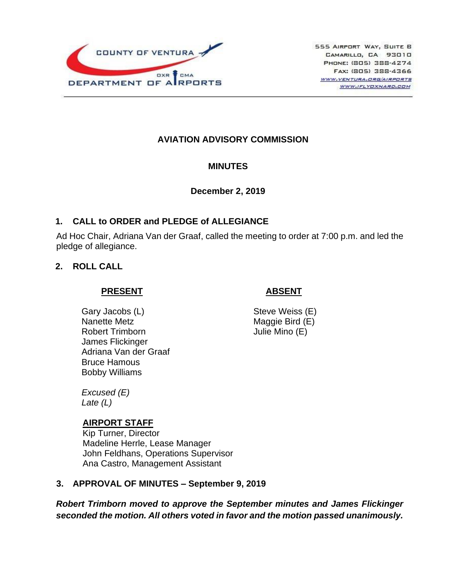

# **AVIATION ADVISORY COMMISSION**

#### **MINUTES**

#### **December 2, 2019**

## **1. CALL to ORDER and PLEDGE of ALLEGIANCE**

Ad Hoc Chair, Adriana Van der Graaf, called the meeting to order at 7:00 p.m. and led the pledge of allegiance.

## **2. ROLL CALL**

#### **PRESENT**

Gary Jacobs (L) Nanette Metz Robert Trimborn James Flickinger Adriana Van der Graaf Bruce Hamous Bobby Williams

 **ABSENT**

Steve Weiss (E) Maggie Bird (E) Julie Mino (E)

*Excused (E) Late (L)*

#### **AIRPORT STAFF**

Kip Turner, Director Madeline Herrle, Lease Manager John Feldhans, Operations Supervisor Ana Castro, Management Assistant

# **3. APPROVAL OF MINUTES – September 9, 2019**

*Robert Trimborn moved to approve the September minutes and James Flickinger seconded the motion. All others voted in favor and the motion passed unanimously.*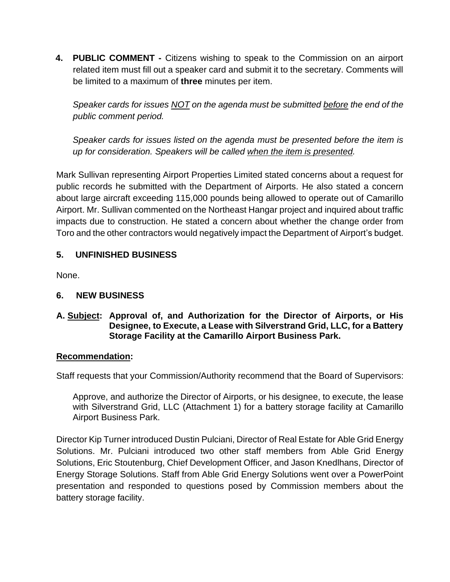**4. PUBLIC COMMENT -** Citizens wishing to speak to the Commission on an airport related item must fill out a speaker card and submit it to the secretary. Comments will be limited to a maximum of **three** minutes per item.

*Speaker cards for issues NOT on the agenda must be submitted before the end of the public comment period.* 

*Speaker cards for issues listed on the agenda must be presented before the item is up for consideration. Speakers will be called when the item is presented.*

Mark Sullivan representing Airport Properties Limited stated concerns about a request for public records he submitted with the Department of Airports. He also stated a concern about large aircraft exceeding 115,000 pounds being allowed to operate out of Camarillo Airport. Mr. Sullivan commented on the Northeast Hangar project and inquired about traffic impacts due to construction. He stated a concern about whether the change order from Toro and the other contractors would negatively impact the Department of Airport's budget.

# **5. UNFINISHED BUSINESS**

None.

# **6. NEW BUSINESS**

### **A. Subject: Approval of, and Authorization for the Director of Airports, or His Designee, to Execute, a Lease with Silverstrand Grid, LLC, for a Battery Storage Facility at the Camarillo Airport Business Park.**

#### **Recommendation:**

Staff requests that your Commission/Authority recommend that the Board of Supervisors:

Approve, and authorize the Director of Airports, or his designee, to execute, the lease with Silverstrand Grid, LLC (Attachment 1) for a battery storage facility at Camarillo Airport Business Park.

Director Kip Turner introduced Dustin Pulciani, Director of Real Estate for Able Grid Energy Solutions. Mr. Pulciani introduced two other staff members from Able Grid Energy Solutions, Eric Stoutenburg, Chief Development Officer, and Jason Knedlhans, Director of Energy Storage Solutions. Staff from Able Grid Energy Solutions went over a PowerPoint presentation and responded to questions posed by Commission members about the battery storage facility.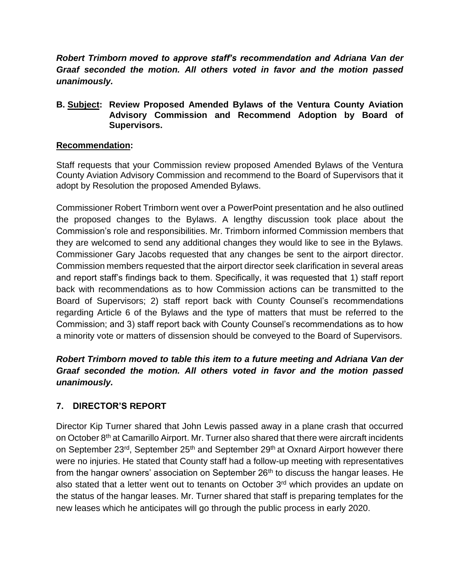*Robert Trimborn moved to approve staff's recommendation and Adriana Van der Graaf seconded the motion. All others voted in favor and the motion passed unanimously.*

### **B. Subject: Review Proposed Amended Bylaws of the Ventura County Aviation Advisory Commission and Recommend Adoption by Board of Supervisors.**

## **Recommendation:**

Staff requests that your Commission review proposed Amended Bylaws of the Ventura County Aviation Advisory Commission and recommend to the Board of Supervisors that it adopt by Resolution the proposed Amended Bylaws.

Commissioner Robert Trimborn went over a PowerPoint presentation and he also outlined the proposed changes to the Bylaws. A lengthy discussion took place about the Commission's role and responsibilities. Mr. Trimborn informed Commission members that they are welcomed to send any additional changes they would like to see in the Bylaws. Commissioner Gary Jacobs requested that any changes be sent to the airport director. Commission members requested that the airport director seek clarification in several areas and report staff's findings back to them. Specifically, it was requested that 1) staff report back with recommendations as to how Commission actions can be transmitted to the Board of Supervisors; 2) staff report back with County Counsel's recommendations regarding Article 6 of the Bylaws and the type of matters that must be referred to the Commission; and 3) staff report back with County Counsel's recommendations as to how a minority vote or matters of dissension should be conveyed to the Board of Supervisors.

# *Robert Trimborn moved to table this item to a future meeting and Adriana Van der Graaf seconded the motion. All others voted in favor and the motion passed unanimously.*

# **7. DIRECTOR'S REPORT**

Director Kip Turner shared that John Lewis passed away in a plane crash that occurred on October 8<sup>th</sup> at Camarillo Airport. Mr. Turner also shared that there were aircraft incidents on September 23<sup>rd</sup>, September 25<sup>th</sup> and September 29<sup>th</sup> at Oxnard Airport however there were no injuries. He stated that County staff had a follow-up meeting with representatives from the hangar owners' association on September 26<sup>th</sup> to discuss the hangar leases. He also stated that a letter went out to tenants on October  $3<sup>rd</sup>$  which provides an update on the status of the hangar leases. Mr. Turner shared that staff is preparing templates for the new leases which he anticipates will go through the public process in early 2020.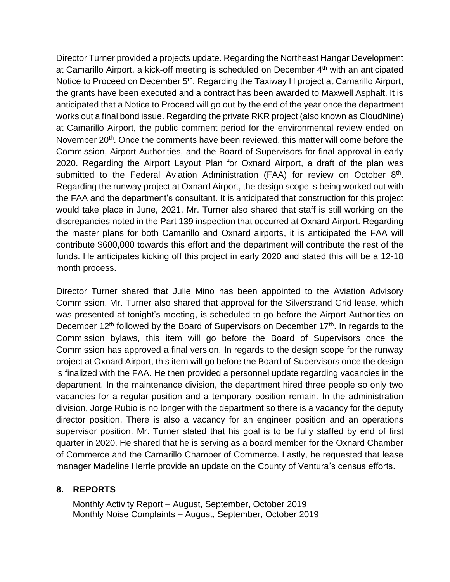Director Turner provided a projects update. Regarding the Northeast Hangar Development at Camarillo Airport, a kick-off meeting is scheduled on December 4th with an anticipated Notice to Proceed on December 5<sup>th</sup>. Regarding the Taxiway H project at Camarillo Airport, the grants have been executed and a contract has been awarded to Maxwell Asphalt. It is anticipated that a Notice to Proceed will go out by the end of the year once the department works out a final bond issue. Regarding the private RKR project (also known as CloudNine) at Camarillo Airport, the public comment period for the environmental review ended on November 20<sup>th</sup>. Once the comments have been reviewed, this matter will come before the Commission, Airport Authorities, and the Board of Supervisors for final approval in early 2020. Regarding the Airport Layout Plan for Oxnard Airport, a draft of the plan was submitted to the Federal Aviation Administration (FAA) for review on October  $8<sup>th</sup>$ . Regarding the runway project at Oxnard Airport, the design scope is being worked out with the FAA and the department's consultant. It is anticipated that construction for this project would take place in June, 2021. Mr. Turner also shared that staff is still working on the discrepancies noted in the Part 139 inspection that occurred at Oxnard Airport. Regarding the master plans for both Camarillo and Oxnard airports, it is anticipated the FAA will contribute \$600,000 towards this effort and the department will contribute the rest of the funds. He anticipates kicking off this project in early 2020 and stated this will be a 12-18 month process.

Director Turner shared that Julie Mino has been appointed to the Aviation Advisory Commission. Mr. Turner also shared that approval for the Silverstrand Grid lease, which was presented at tonight's meeting, is scheduled to go before the Airport Authorities on December 12<sup>th</sup> followed by the Board of Supervisors on December 17<sup>th</sup>. In regards to the Commission bylaws, this item will go before the Board of Supervisors once the Commission has approved a final version. In regards to the design scope for the runway project at Oxnard Airport, this item will go before the Board of Supervisors once the design is finalized with the FAA. He then provided a personnel update regarding vacancies in the department. In the maintenance division, the department hired three people so only two vacancies for a regular position and a temporary position remain. In the administration division, Jorge Rubio is no longer with the department so there is a vacancy for the deputy director position. There is also a vacancy for an engineer position and an operations supervisor position. Mr. Turner stated that his goal is to be fully staffed by end of first quarter in 2020. He shared that he is serving as a board member for the Oxnard Chamber of Commerce and the Camarillo Chamber of Commerce. Lastly, he requested that lease manager Madeline Herrle provide an update on the County of Ventura's census efforts.

# **8. REPORTS**

Monthly Activity Report – August, September, October 2019 Monthly Noise Complaints – August, September, October 2019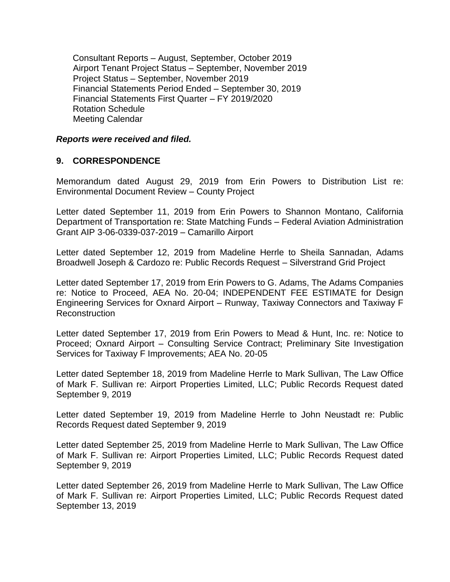Consultant Reports – August, September, October 2019 Airport Tenant Project Status – September, November 2019 Project Status – September, November 2019 Financial Statements Period Ended – September 30, 2019 Financial Statements First Quarter – FY 2019/2020 Rotation Schedule Meeting Calendar

#### *Reports were received and filed.*

#### **9. CORRESPONDENCE**

Memorandum dated August 29, 2019 from Erin Powers to Distribution List re: Environmental Document Review – County Project

Letter dated September 11, 2019 from Erin Powers to Shannon Montano, California Department of Transportation re: State Matching Funds – Federal Aviation Administration Grant AIP 3-06-0339-037-2019 – Camarillo Airport

Letter dated September 12, 2019 from Madeline Herrle to Sheila Sannadan, Adams Broadwell Joseph & Cardozo re: Public Records Request – Silverstrand Grid Project

Letter dated September 17, 2019 from Erin Powers to G. Adams, The Adams Companies re: Notice to Proceed, AEA No. 20-04; INDEPENDENT FEE ESTIMATE for Design Engineering Services for Oxnard Airport – Runway, Taxiway Connectors and Taxiway F Reconstruction

Letter dated September 17, 2019 from Erin Powers to Mead & Hunt, Inc. re: Notice to Proceed; Oxnard Airport – Consulting Service Contract; Preliminary Site Investigation Services for Taxiway F Improvements; AEA No. 20-05

Letter dated September 18, 2019 from Madeline Herrle to Mark Sullivan, The Law Office of Mark F. Sullivan re: Airport Properties Limited, LLC; Public Records Request dated September 9, 2019

Letter dated September 19, 2019 from Madeline Herrle to John Neustadt re: Public Records Request dated September 9, 2019

Letter dated September 25, 2019 from Madeline Herrle to Mark Sullivan, The Law Office of Mark F. Sullivan re: Airport Properties Limited, LLC; Public Records Request dated September 9, 2019

Letter dated September 26, 2019 from Madeline Herrle to Mark Sullivan, The Law Office of Mark F. Sullivan re: Airport Properties Limited, LLC; Public Records Request dated September 13, 2019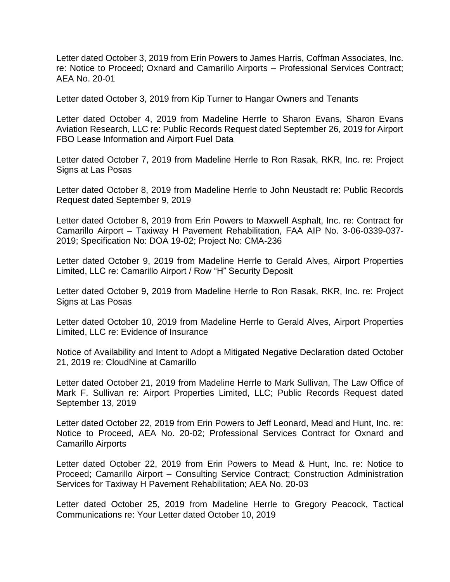Letter dated October 3, 2019 from Erin Powers to James Harris, Coffman Associates, Inc. re: Notice to Proceed; Oxnard and Camarillo Airports – Professional Services Contract; AEA No. 20-01

Letter dated October 3, 2019 from Kip Turner to Hangar Owners and Tenants

Letter dated October 4, 2019 from Madeline Herrle to Sharon Evans, Sharon Evans Aviation Research, LLC re: Public Records Request dated September 26, 2019 for Airport FBO Lease Information and Airport Fuel Data

Letter dated October 7, 2019 from Madeline Herrle to Ron Rasak, RKR, Inc. re: Project Signs at Las Posas

Letter dated October 8, 2019 from Madeline Herrle to John Neustadt re: Public Records Request dated September 9, 2019

Letter dated October 8, 2019 from Erin Powers to Maxwell Asphalt, Inc. re: Contract for Camarillo Airport – Taxiway H Pavement Rehabilitation, FAA AIP No. 3-06-0339-037- 2019; Specification No: DOA 19-02; Project No: CMA-236

Letter dated October 9, 2019 from Madeline Herrle to Gerald Alves, Airport Properties Limited, LLC re: Camarillo Airport / Row "H" Security Deposit

Letter dated October 9, 2019 from Madeline Herrle to Ron Rasak, RKR, Inc. re: Project Signs at Las Posas

Letter dated October 10, 2019 from Madeline Herrle to Gerald Alves, Airport Properties Limited, LLC re: Evidence of Insurance

Notice of Availability and Intent to Adopt a Mitigated Negative Declaration dated October 21, 2019 re: CloudNine at Camarillo

Letter dated October 21, 2019 from Madeline Herrle to Mark Sullivan, The Law Office of Mark F. Sullivan re: Airport Properties Limited, LLC; Public Records Request dated September 13, 2019

Letter dated October 22, 2019 from Erin Powers to Jeff Leonard, Mead and Hunt, Inc. re: Notice to Proceed, AEA No. 20-02; Professional Services Contract for Oxnard and Camarillo Airports

Letter dated October 22, 2019 from Erin Powers to Mead & Hunt, Inc. re: Notice to Proceed; Camarillo Airport – Consulting Service Contract; Construction Administration Services for Taxiway H Pavement Rehabilitation; AEA No. 20-03

Letter dated October 25, 2019 from Madeline Herrle to Gregory Peacock, Tactical Communications re: Your Letter dated October 10, 2019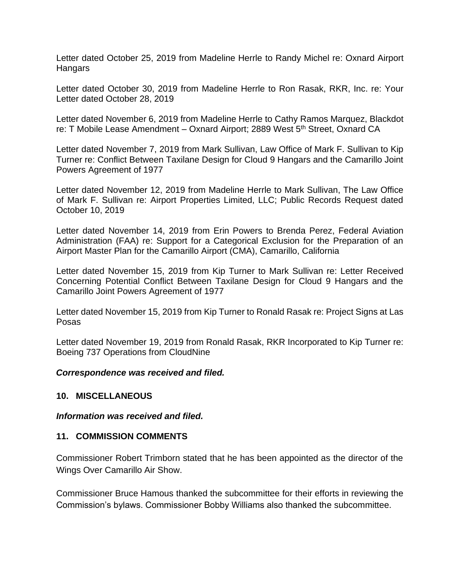Letter dated October 25, 2019 from Madeline Herrle to Randy Michel re: Oxnard Airport **Hangars** 

Letter dated October 30, 2019 from Madeline Herrle to Ron Rasak, RKR, Inc. re: Your Letter dated October 28, 2019

Letter dated November 6, 2019 from Madeline Herrle to Cathy Ramos Marquez, Blackdot re: T Mobile Lease Amendment – Oxnard Airport; 2889 West 5<sup>th</sup> Street, Oxnard CA

Letter dated November 7, 2019 from Mark Sullivan, Law Office of Mark F. Sullivan to Kip Turner re: Conflict Between Taxilane Design for Cloud 9 Hangars and the Camarillo Joint Powers Agreement of 1977

Letter dated November 12, 2019 from Madeline Herrle to Mark Sullivan, The Law Office of Mark F. Sullivan re: Airport Properties Limited, LLC; Public Records Request dated October 10, 2019

Letter dated November 14, 2019 from Erin Powers to Brenda Perez, Federal Aviation Administration (FAA) re: Support for a Categorical Exclusion for the Preparation of an Airport Master Plan for the Camarillo Airport (CMA), Camarillo, California

Letter dated November 15, 2019 from Kip Turner to Mark Sullivan re: Letter Received Concerning Potential Conflict Between Taxilane Design for Cloud 9 Hangars and the Camarillo Joint Powers Agreement of 1977

Letter dated November 15, 2019 from Kip Turner to Ronald Rasak re: Project Signs at Las Posas

Letter dated November 19, 2019 from Ronald Rasak, RKR Incorporated to Kip Turner re: Boeing 737 Operations from CloudNine

#### *Correspondence was received and filed.*

#### **10. MISCELLANEOUS**

*Information was received and filed.*

#### **11. COMMISSION COMMENTS**

Commissioner Robert Trimborn stated that he has been appointed as the director of the Wings Over Camarillo Air Show.

Commissioner Bruce Hamous thanked the subcommittee for their efforts in reviewing the Commission's bylaws. Commissioner Bobby Williams also thanked the subcommittee.